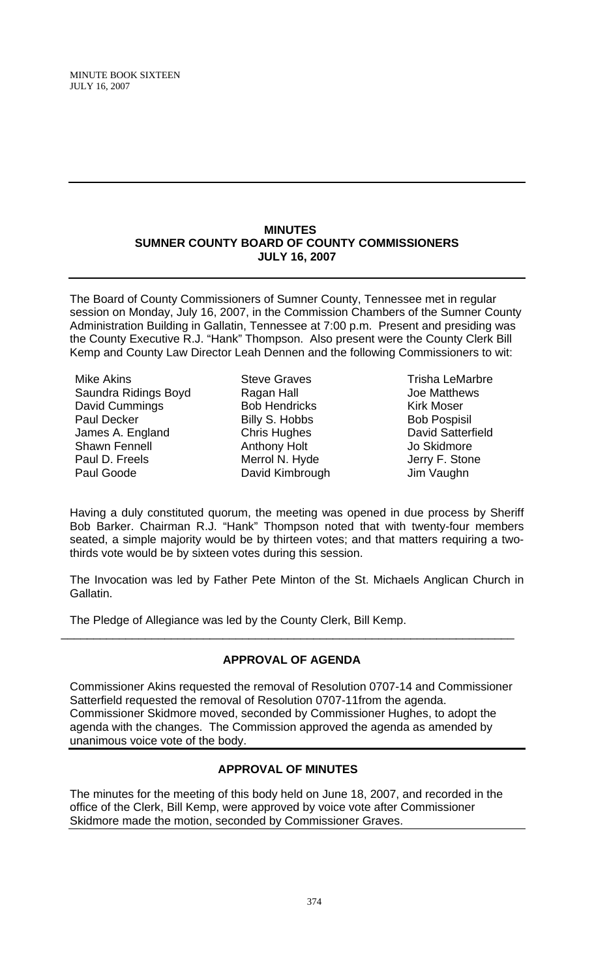#### **MINUTES SUMNER COUNTY BOARD OF COUNTY COMMISSIONERS JULY 16, 2007**

The Board of County Commissioners of Sumner County, Tennessee met in regular session on Monday, July 16, 2007, in the Commission Chambers of the Sumner County Administration Building in Gallatin, Tennessee at 7:00 p.m. Present and presiding was the County Executive R.J. "Hank" Thompson. Also present were the County Clerk Bill Kemp and County Law Director Leah Dennen and the following Commissioners to wit:

Mike Akins Saundra Ridings Boyd David Cummings Paul Decker James A. England Shawn Fennell Paul D. Freels Paul Goode

- Steve Graves Ragan Hall Bob Hendricks Billy S. Hobbs Chris Hughes Anthony Holt Merrol N. Hyde David Kimbrough
- Trisha LeMarbre Joe Matthews Kirk Moser Bob Pospisil David Satterfield Jo Skidmore Jerry F. Stone Jim Vaughn

Having a duly constituted quorum, the meeting was opened in due process by Sheriff Bob Barker. Chairman R.J. "Hank" Thompson noted that with twenty-four members seated, a simple majority would be by thirteen votes; and that matters requiring a twothirds vote would be by sixteen votes during this session.

The Invocation was led by Father Pete Minton of the St. Michaels Anglican Church in Gallatin.

The Pledge of Allegiance was led by the County Clerk, Bill Kemp.

# **APPROVAL OF AGENDA**

\_\_\_\_\_\_\_\_\_\_\_\_\_\_\_\_\_\_\_\_\_\_\_\_\_\_\_\_\_\_\_\_\_\_\_\_\_\_\_\_\_\_\_\_\_\_\_\_\_\_\_\_\_\_\_\_\_\_\_\_\_\_\_\_\_\_\_\_\_\_

Commissioner Akins requested the removal of Resolution 0707-14 and Commissioner Satterfield requested the removal of Resolution 0707-11from the agenda. Commissioner Skidmore moved, seconded by Commissioner Hughes, to adopt the agenda with the changes. The Commission approved the agenda as amended by unanimous voice vote of the body.

# **APPROVAL OF MINUTES**

The minutes for the meeting of this body held on June 18, 2007, and recorded in the office of the Clerk, Bill Kemp, were approved by voice vote after Commissioner Skidmore made the motion, seconded by Commissioner Graves.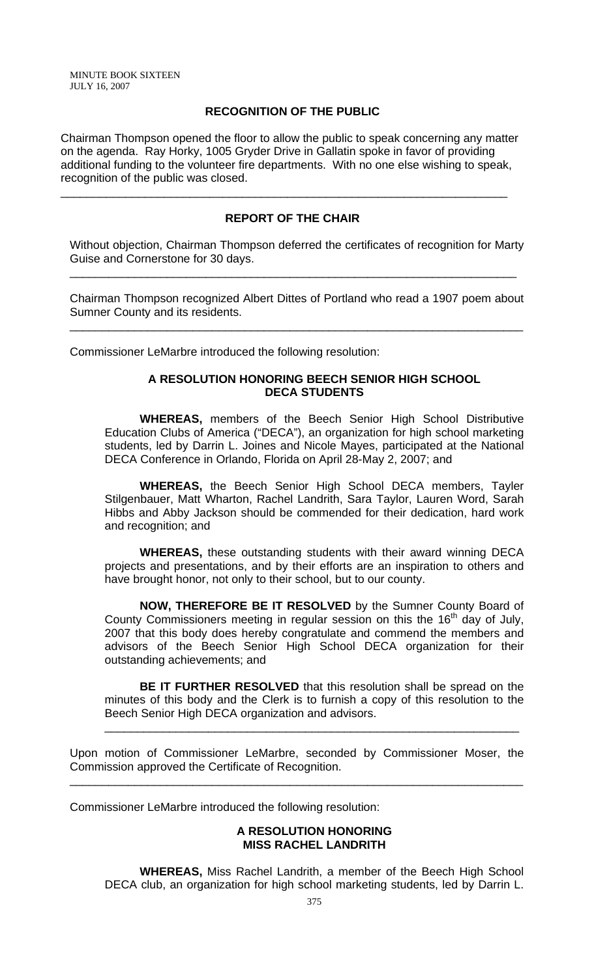### **RECOGNITION OF THE PUBLIC**

Chairman Thompson opened the floor to allow the public to speak concerning any matter on the agenda. Ray Horky, 1005 Gryder Drive in Gallatin spoke in favor of providing additional funding to the volunteer fire departments. With no one else wishing to speak, recognition of the public was closed.

\_\_\_\_\_\_\_\_\_\_\_\_\_\_\_\_\_\_\_\_\_\_\_\_\_\_\_\_\_\_\_\_\_\_\_\_\_\_\_\_\_\_\_\_\_\_\_\_\_\_\_\_\_\_\_\_\_\_\_\_\_\_\_\_\_\_\_\_\_

## **REPORT OF THE CHAIR**

Without objection, Chairman Thompson deferred the certificates of recognition for Marty Guise and Cornerstone for 30 days.

\_\_\_\_\_\_\_\_\_\_\_\_\_\_\_\_\_\_\_\_\_\_\_\_\_\_\_\_\_\_\_\_\_\_\_\_\_\_\_\_\_\_\_\_\_\_\_\_\_\_\_\_\_\_\_\_\_\_\_\_\_\_\_\_\_\_\_\_\_

Chairman Thompson recognized Albert Dittes of Portland who read a 1907 poem about Sumner County and its residents.

\_\_\_\_\_\_\_\_\_\_\_\_\_\_\_\_\_\_\_\_\_\_\_\_\_\_\_\_\_\_\_\_\_\_\_\_\_\_\_\_\_\_\_\_\_\_\_\_\_\_\_\_\_\_\_\_\_\_\_\_\_\_\_\_\_\_\_\_\_\_

Commissioner LeMarbre introduced the following resolution:

### **A RESOLUTION HONORING BEECH SENIOR HIGH SCHOOL DECA STUDENTS**

 **WHEREAS,** members of the Beech Senior High School Distributive Education Clubs of America ("DECA"), an organization for high school marketing students, led by Darrin L. Joines and Nicole Mayes, participated at the National DECA Conference in Orlando, Florida on April 28-May 2, 2007; and

**WHEREAS,** the Beech Senior High School DECA members, Tayler Stilgenbauer, Matt Wharton, Rachel Landrith, Sara Taylor, Lauren Word, Sarah Hibbs and Abby Jackson should be commended for their dedication, hard work and recognition; and

**WHEREAS,** these outstanding students with their award winning DECA projects and presentations, and by their efforts are an inspiration to others and have brought honor, not only to their school, but to our county.

**NOW, THEREFORE BE IT RESOLVED** by the Sumner County Board of County Commissioners meeting in regular session on this the  $16<sup>th</sup>$  day of July, 2007 that this body does hereby congratulate and commend the members and advisors of the Beech Senior High School DECA organization for their outstanding achievements; and

**BE IT FURTHER RESOLVED** that this resolution shall be spread on the minutes of this body and the Clerk is to furnish a copy of this resolution to the Beech Senior High DECA organization and advisors.

\_\_\_\_\_\_\_\_\_\_\_\_\_\_\_\_\_\_\_\_\_\_\_\_\_\_\_\_\_\_\_\_\_\_\_\_\_\_\_\_\_\_\_\_\_\_\_\_\_\_\_\_\_\_\_\_\_\_\_\_\_\_\_\_

Upon motion of Commissioner LeMarbre, seconded by Commissioner Moser, the Commission approved the Certificate of Recognition.

\_\_\_\_\_\_\_\_\_\_\_\_\_\_\_\_\_\_\_\_\_\_\_\_\_\_\_\_\_\_\_\_\_\_\_\_\_\_\_\_\_\_\_\_\_\_\_\_\_\_\_\_\_\_\_\_\_\_\_\_\_\_\_\_\_\_\_\_\_\_

Commissioner LeMarbre introduced the following resolution:

### **A RESOLUTION HONORING MISS RACHEL LANDRITH**

**WHEREAS,** Miss Rachel Landrith, a member of the Beech High School DECA club, an organization for high school marketing students, led by Darrin L.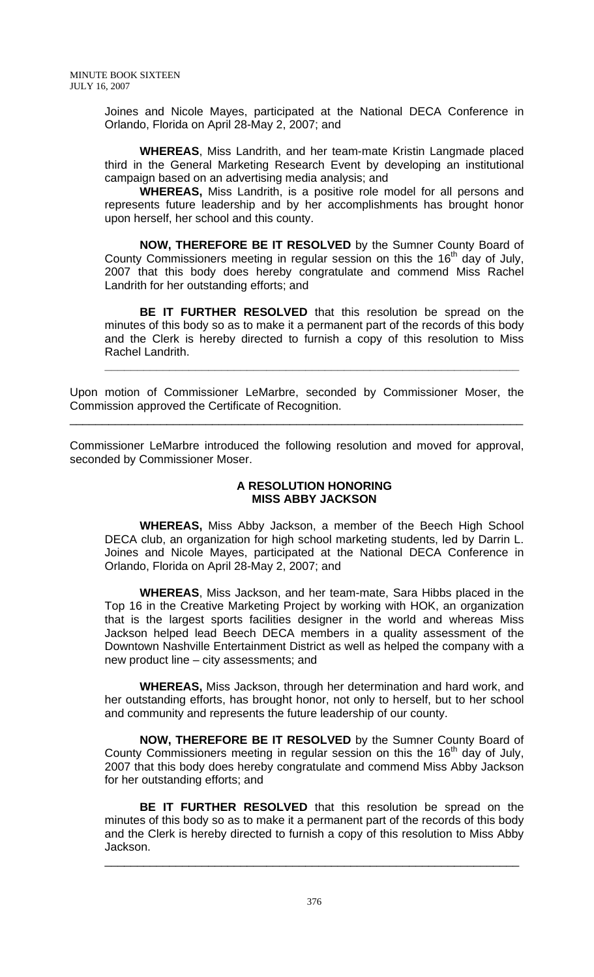Joines and Nicole Mayes, participated at the National DECA Conference in Orlando, Florida on April 28-May 2, 2007; and

**WHEREAS**, Miss Landrith, and her team-mate Kristin Langmade placed third in the General Marketing Research Event by developing an institutional campaign based on an advertising media analysis; and

**WHEREAS,** Miss Landrith, is a positive role model for all persons and represents future leadership and by her accomplishments has brought honor upon herself, her school and this county.

**NOW, THEREFORE BE IT RESOLVED** by the Sumner County Board of County Commissioners meeting in regular session on this the 16<sup>th</sup> day of July, 2007 that this body does hereby congratulate and commend Miss Rachel Landrith for her outstanding efforts; and

**BE IT FURTHER RESOLVED** that this resolution be spread on the minutes of this body so as to make it a permanent part of the records of this body and the Clerk is hereby directed to furnish a copy of this resolution to Miss Rachel Landrith.

**\_\_\_\_\_\_\_\_\_\_\_\_\_\_\_\_\_\_\_\_\_\_\_\_\_\_\_\_\_\_\_\_\_\_\_\_\_\_\_\_\_\_\_\_\_\_\_\_\_\_\_\_\_\_\_\_\_\_\_\_\_\_\_\_**

Upon motion of Commissioner LeMarbre, seconded by Commissioner Moser, the Commission approved the Certificate of Recognition.

\_\_\_\_\_\_\_\_\_\_\_\_\_\_\_\_\_\_\_\_\_\_\_\_\_\_\_\_\_\_\_\_\_\_\_\_\_\_\_\_\_\_\_\_\_\_\_\_\_\_\_\_\_\_\_\_\_\_\_\_\_\_\_\_\_\_\_\_\_\_

Commissioner LeMarbre introduced the following resolution and moved for approval, seconded by Commissioner Moser.

### **A RESOLUTION HONORING MISS ABBY JACKSON**

**WHEREAS,** Miss Abby Jackson, a member of the Beech High School DECA club, an organization for high school marketing students, led by Darrin L. Joines and Nicole Mayes, participated at the National DECA Conference in Orlando, Florida on April 28-May 2, 2007; and

**WHEREAS**, Miss Jackson, and her team-mate, Sara Hibbs placed in the Top 16 in the Creative Marketing Project by working with HOK, an organization that is the largest sports facilities designer in the world and whereas Miss Jackson helped lead Beech DECA members in a quality assessment of the Downtown Nashville Entertainment District as well as helped the company with a new product line – city assessments; and

**WHEREAS,** Miss Jackson, through her determination and hard work, and her outstanding efforts, has brought honor, not only to herself, but to her school and community and represents the future leadership of our county.

**NOW, THEREFORE BE IT RESOLVED** by the Sumner County Board of County Commissioners meeting in regular session on this the  $16<sup>th</sup>$  day of July, 2007 that this body does hereby congratulate and commend Miss Abby Jackson for her outstanding efforts; and

**BE IT FURTHER RESOLVED** that this resolution be spread on the minutes of this body so as to make it a permanent part of the records of this body and the Clerk is hereby directed to furnish a copy of this resolution to Miss Abby Jackson.

\_\_\_\_\_\_\_\_\_\_\_\_\_\_\_\_\_\_\_\_\_\_\_\_\_\_\_\_\_\_\_\_\_\_\_\_\_\_\_\_\_\_\_\_\_\_\_\_\_\_\_\_\_\_\_\_\_\_\_\_\_\_\_\_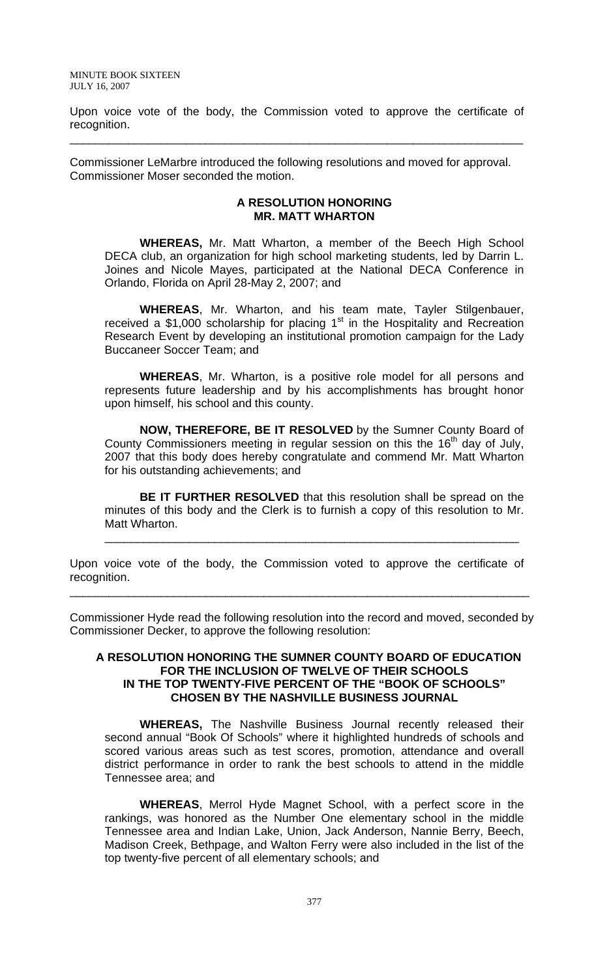Upon voice vote of the body, the Commission voted to approve the certificate of recognition.

\_\_\_\_\_\_\_\_\_\_\_\_\_\_\_\_\_\_\_\_\_\_\_\_\_\_\_\_\_\_\_\_\_\_\_\_\_\_\_\_\_\_\_\_\_\_\_\_\_\_\_\_\_\_\_\_\_\_\_\_\_\_\_\_\_\_\_\_\_\_

Commissioner LeMarbre introduced the following resolutions and moved for approval. Commissioner Moser seconded the motion.

#### **A RESOLUTION HONORING MR. MATT WHARTON**

 **WHEREAS,** Mr. Matt Wharton, a member of the Beech High School DECA club, an organization for high school marketing students, led by Darrin L. Joines and Nicole Mayes, participated at the National DECA Conference in Orlando, Florida on April 28-May 2, 2007; and

**WHEREAS**, Mr. Wharton, and his team mate, Tayler Stilgenbauer, received a \$1,000 scholarship for placing  $1<sup>st</sup>$  in the Hospitality and Recreation Research Event by developing an institutional promotion campaign for the Lady Buccaneer Soccer Team; and

**WHEREAS**, Mr. Wharton, is a positive role model for all persons and represents future leadership and by his accomplishments has brought honor upon himself, his school and this county.

**NOW, THEREFORE, BE IT RESOLVED** by the Sumner County Board of County Commissioners meeting in regular session on this the 16<sup>th</sup> day of July, 2007 that this body does hereby congratulate and commend Mr. Matt Wharton for his outstanding achievements; and

**BE IT FURTHER RESOLVED** that this resolution shall be spread on the minutes of this body and the Clerk is to furnish a copy of this resolution to Mr. Matt Wharton.

\_\_\_\_\_\_\_\_\_\_\_\_\_\_\_\_\_\_\_\_\_\_\_\_\_\_\_\_\_\_\_\_\_\_\_\_\_\_\_\_\_\_\_\_\_\_\_\_\_\_\_\_\_\_\_\_\_\_\_\_\_\_\_\_

Upon voice vote of the body, the Commission voted to approve the certificate of recognition.

\_\_\_\_\_\_\_\_\_\_\_\_\_\_\_\_\_\_\_\_\_\_\_\_\_\_\_\_\_\_\_\_\_\_\_\_\_\_\_\_\_\_\_\_\_\_\_\_\_\_\_\_\_\_\_\_\_\_\_\_\_\_\_\_\_\_\_\_\_\_\_

Commissioner Hyde read the following resolution into the record and moved, seconded by Commissioner Decker, to approve the following resolution:

#### **A RESOLUTION HONORING THE SUMNER COUNTY BOARD OF EDUCATION FOR THE INCLUSION OF TWELVE OF THEIR SCHOOLS IN THE TOP TWENTY-FIVE PERCENT OF THE "BOOK OF SCHOOLS" CHOSEN BY THE NASHVILLE BUSINESS JOURNAL**

 **WHEREAS,** The Nashville Business Journal recently released their second annual "Book Of Schools" where it highlighted hundreds of schools and scored various areas such as test scores, promotion, attendance and overall district performance in order to rank the best schools to attend in the middle Tennessee area; and

**WHEREAS**, Merrol Hyde Magnet School, with a perfect score in the rankings, was honored as the Number One elementary school in the middle Tennessee area and Indian Lake, Union, Jack Anderson, Nannie Berry, Beech, Madison Creek, Bethpage, and Walton Ferry were also included in the list of the top twenty-five percent of all elementary schools; and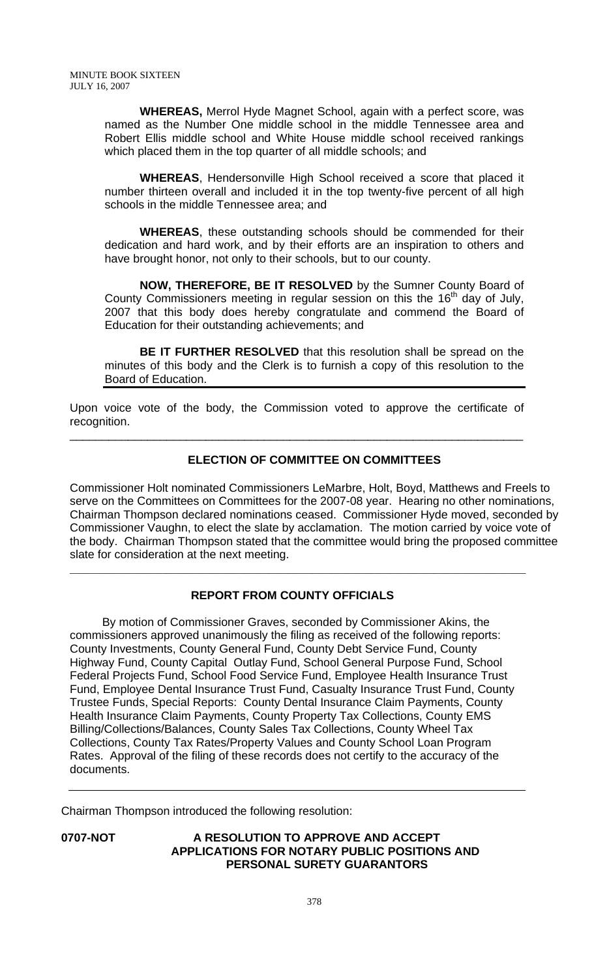**WHEREAS,** Merrol Hyde Magnet School, again with a perfect score, was named as the Number One middle school in the middle Tennessee area and Robert Ellis middle school and White House middle school received rankings which placed them in the top quarter of all middle schools; and

**WHEREAS**, Hendersonville High School received a score that placed it number thirteen overall and included it in the top twenty-five percent of all high schools in the middle Tennessee area; and

**WHEREAS**, these outstanding schools should be commended for their dedication and hard work, and by their efforts are an inspiration to others and have brought honor, not only to their schools, but to our county.

**NOW, THEREFORE, BE IT RESOLVED** by the Sumner County Board of County Commissioners meeting in regular session on this the  $16<sup>th</sup>$  day of July, 2007 that this body does hereby congratulate and commend the Board of Education for their outstanding achievements; and

**BE IT FURTHER RESOLVED** that this resolution shall be spread on the minutes of this body and the Clerk is to furnish a copy of this resolution to the Board of Education.

Upon voice vote of the body, the Commission voted to approve the certificate of recognition.

\_\_\_\_\_\_\_\_\_\_\_\_\_\_\_\_\_\_\_\_\_\_\_\_\_\_\_\_\_\_\_\_\_\_\_\_\_\_\_\_\_\_\_\_\_\_\_\_\_\_\_\_\_\_\_\_\_\_\_\_\_\_\_\_\_\_\_\_\_\_

# **ELECTION OF COMMITTEE ON COMMITTEES**

Commissioner Holt nominated Commissioners LeMarbre, Holt, Boyd, Matthews and Freels to serve on the Committees on Committees for the 2007-08 year. Hearing no other nominations, Chairman Thompson declared nominations ceased. Commissioner Hyde moved, seconded by Commissioner Vaughn, to elect the slate by acclamation. The motion carried by voice vote of the body. Chairman Thompson stated that the committee would bring the proposed committee slate for consideration at the next meeting.

# **REPORT FROM COUNTY OFFICIALS**

\_\_\_\_\_\_\_\_\_\_\_\_\_\_\_\_\_\_\_\_\_\_\_\_\_\_\_\_\_\_\_\_\_\_\_\_\_\_\_\_\_\_\_\_\_\_\_\_\_\_\_\_\_\_\_\_\_\_\_\_\_\_\_\_\_\_\_\_\_\_\_\_\_\_\_\_\_\_\_\_\_\_\_\_\_\_\_\_\_\_\_\_\_\_

 By motion of Commissioner Graves, seconded by Commissioner Akins, the commissioners approved unanimously the filing as received of the following reports: County Investments, County General Fund, County Debt Service Fund, County Highway Fund, County Capital Outlay Fund, School General Purpose Fund, School Federal Projects Fund, School Food Service Fund, Employee Health Insurance Trust Fund, Employee Dental Insurance Trust Fund, Casualty Insurance Trust Fund, County Trustee Funds, Special Reports: County Dental Insurance Claim Payments, County Health Insurance Claim Payments, County Property Tax Collections, County EMS Billing/Collections/Balances, County Sales Tax Collections, County Wheel Tax Collections, County Tax Rates/Property Values and County School Loan Program Rates. Approval of the filing of these records does not certify to the accuracy of the documents.

Chairman Thompson introduced the following resolution:

## **0707-NOT A RESOLUTION TO APPROVE AND ACCEPT APPLICATIONS FOR NOTARY PUBLIC POSITIONS AND PERSONAL SURETY GUARANTORS**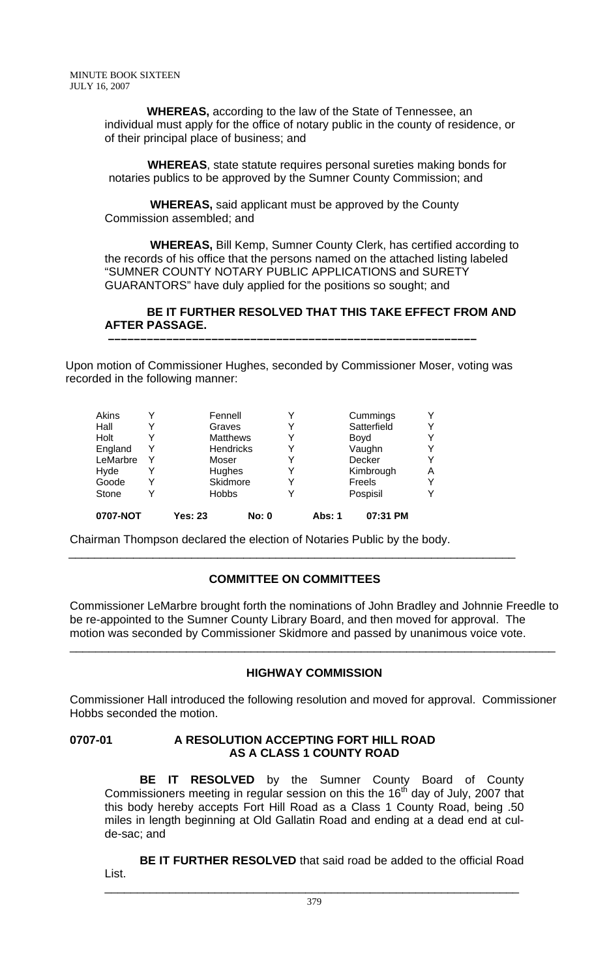**WHEREAS,** according to the law of the State of Tennessee, an individual must apply for the office of notary public in the county of residence, or of their principal place of business; and

 **WHEREAS**, state statute requires personal sureties making bonds for notaries publics to be approved by the Sumner County Commission; and

 **WHEREAS,** said applicant must be approved by the County Commission assembled; and

 **WHEREAS,** Bill Kemp, Sumner County Clerk, has certified according to the records of his office that the persons named on the attached listing labeled "SUMNER COUNTY NOTARY PUBLIC APPLICATIONS and SURETY GUARANTORS" have duly applied for the positions so sought; and

## **BE IT FURTHER RESOLVED THAT THIS TAKE EFFECT FROM AND AFTER PASSAGE.**

Upon motion of Commissioner Hughes, seconded by Commissioner Moser, voting was recorded in the following manner:

 **–––––––––––––––––––––––––––––––––––––––––––––––––––––––––**

| 0707-NOT |   | Yes: 23 | <b>No: 0</b>     | Abs: 1 | 07:31 PM    |   |
|----------|---|---------|------------------|--------|-------------|---|
| Stone    | Y |         | <b>Hobbs</b>     |        | Pospisil    | v |
| Goode    | Y |         | Skidmore         |        | Freels      | v |
| Hyde     |   |         | Hughes           |        | Kimbrough   | Α |
| LeMarbre | Y |         | Moser            |        | Decker      | Y |
| England  | Y |         | <b>Hendricks</b> |        | Vaughn      | v |
| Holt     | Y |         | <b>Matthews</b>  |        | Boyd        | v |
| Hall     | Y |         | Graves           |        | Satterfield | Y |
| Akins    | v |         | Fennell          |        | Cummings    | Y |
|          |   |         |                  |        |             |   |

Chairman Thompson declared the election of Notaries Public by the body.

# **COMMITTEE ON COMMITTEES**

\_\_\_\_\_\_\_\_\_\_\_\_\_\_\_\_\_\_\_\_\_\_\_\_\_\_\_\_\_\_\_\_\_\_\_\_\_\_\_\_\_\_\_\_\_\_\_\_\_\_\_\_\_\_\_\_\_\_\_\_\_\_\_\_\_\_\_\_\_

Commissioner LeMarbre brought forth the nominations of John Bradley and Johnnie Freedle to be re-appointed to the Sumner County Library Board, and then moved for approval. The motion was seconded by Commissioner Skidmore and passed by unanimous voice vote.

# **HIGHWAY COMMISSION**

\_\_\_\_\_\_\_\_\_\_\_\_\_\_\_\_\_\_\_\_\_\_\_\_\_\_\_\_\_\_\_\_\_\_\_\_\_\_\_\_\_\_\_\_\_\_\_\_\_\_\_\_\_\_\_\_\_\_\_\_\_\_\_\_\_\_\_\_\_\_\_\_\_\_\_

Commissioner Hall introduced the following resolution and moved for approval. Commissioner Hobbs seconded the motion.

### **0707-01 A RESOLUTION ACCEPTING FORT HILL ROAD AS A CLASS 1 COUNTY ROAD**

**BE IT RESOLVED** by the Sumner County Board of County Commissioners meeting in regular session on this the  $16<sup>th</sup>$  day of July, 2007 that this body hereby accepts Fort Hill Road as a Class 1 County Road, being .50 miles in length beginning at Old Gallatin Road and ending at a dead end at culde-sac; and

**BE IT FURTHER RESOLVED** that said road be added to the official Road List. \_\_\_\_\_\_\_\_\_\_\_\_\_\_\_\_\_\_\_\_\_\_\_\_\_\_\_\_\_\_\_\_\_\_\_\_\_\_\_\_\_\_\_\_\_\_\_\_\_\_\_\_\_\_\_\_\_\_\_\_\_\_\_\_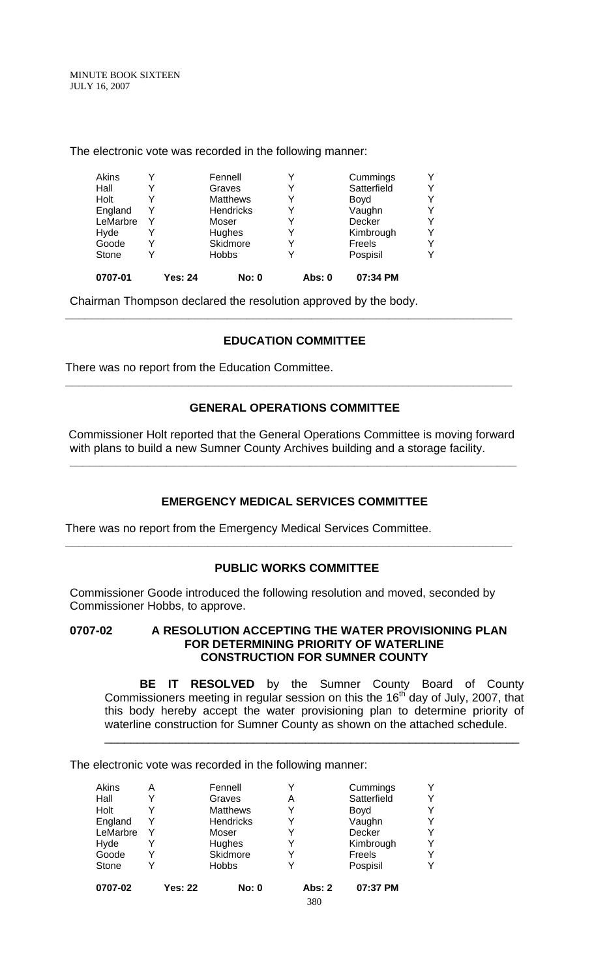> Akins Y Fennell Y Cummings Y Hall Y Graves Y Satterfield Y<br>
> Holt Y Matthews Y Boyd Y<br>
> England Y Hendricks Y Vaughn Y<br>
> LeMarbre Y Moser Y Decker Y<br>
> Hyde Y Hughes Y Kimbrough Y Y<br>
> Y Matthews Y Boyd<br>
> Y Hendricks Y Vaughn Y England Y Hendricks Y Vaughn Y<br>
> LeMarbre Y Moser Y Decker Y LeMarbre Y Moser Y Decker<br>
> Hode Y Hughes Y Kimbrou Hyde Y Hughes Y Kimbrough Y<br>Goode Y Skidmore Y Freels Y Soode Y Skidmore Y Freels<br>
> Stone Y Hobbs Y Pospis Stone Y Hobbs Y Pospisil Y **0707-01 Yes: 24 No: 0 Abs: 0 07:34 PM**

The electronic vote was recorded in the following manner:

Chairman Thompson declared the resolution approved by the body.

## **EDUCATION COMMITTEE**

**\_\_\_\_\_\_\_\_\_\_\_\_\_\_\_\_\_\_\_\_\_\_\_\_\_\_\_\_\_\_\_\_\_\_\_\_\_\_\_\_\_\_\_\_\_\_\_\_\_\_\_\_\_\_\_\_\_\_\_\_\_\_\_\_\_\_\_\_\_** 

There was no report from the Education Committee.

## **GENERAL OPERATIONS COMMITTEE**

**\_\_\_\_\_\_\_\_\_\_\_\_\_\_\_\_\_\_\_\_\_\_\_\_\_\_\_\_\_\_\_\_\_\_\_\_\_\_\_\_\_\_\_\_\_\_\_\_\_\_\_\_\_\_\_\_\_\_\_\_\_\_\_\_\_\_\_\_\_** 

 Commissioner Holt reported that the General Operations Committee is moving forward with plans to build a new Sumner County Archives building and a storage facility.

**\_\_\_\_\_\_\_\_\_\_\_\_\_\_\_\_\_\_\_\_\_\_\_\_\_\_\_\_\_\_\_\_\_\_\_\_\_\_\_\_\_\_\_\_\_\_\_\_\_\_\_\_\_\_\_\_\_\_\_\_\_\_\_\_\_\_\_\_\_** 

# **EMERGENCY MEDICAL SERVICES COMMITTEE**

There was no report from the Emergency Medical Services Committee.

### **PUBLIC WORKS COMMITTEE**

**\_\_\_\_\_\_\_\_\_\_\_\_\_\_\_\_\_\_\_\_\_\_\_\_\_\_\_\_\_\_\_\_\_\_\_\_\_\_\_\_\_\_\_\_\_\_\_\_\_\_\_\_\_\_\_\_\_\_\_\_\_\_\_\_\_\_\_\_\_** 

Commissioner Goode introduced the following resolution and moved, seconded by Commissioner Hobbs, to approve.

**0707-02 A RESOLUTION ACCEPTING THE WATER PROVISIONING PLAN FOR DETERMINING PRIORITY OF WATERLINE CONSTRUCTION FOR SUMNER COUNTY** 

**BE IT RESOLVED** by the Sumner County Board of County Commissioners meeting in regular session on this the 16<sup>th</sup> day of July, 2007, that this body hereby accept the water provisioning plan to determine priority of waterline construction for Sumner County as shown on the attached schedule.

\_\_\_\_\_\_\_\_\_\_\_\_\_\_\_\_\_\_\_\_\_\_\_\_\_\_\_\_\_\_\_\_\_\_\_\_\_\_\_\_\_\_\_\_\_\_\_\_\_\_\_\_\_\_\_\_\_\_\_\_\_\_\_\_

The electronic vote was recorded in the following manner:

| 0707-02  |   | <b>Yes: 22</b> | <b>No: 0</b>    |   | Abs: $2$ | 07:37 PM    |   |
|----------|---|----------------|-----------------|---|----------|-------------|---|
| Stone    |   |                | <b>Hobbs</b>    |   |          | Pospisil    | v |
| Goode    |   |                | Skidmore        |   |          | Freels      | Y |
| Hyde     |   |                | Hughes          |   |          | Kimbrough   | Y |
| LeMarbre |   |                | Moser           |   |          | Decker      | v |
| England  | Y |                | Hendricks       |   |          | Vaughn      | Y |
| Holt     |   |                | <b>Matthews</b> |   |          | Boyd        | Y |
| Hall     |   |                | Graves          | Α |          | Satterfield | Y |
| Akins    | Α |                | Fennell         |   |          | Cummings    | Y |

380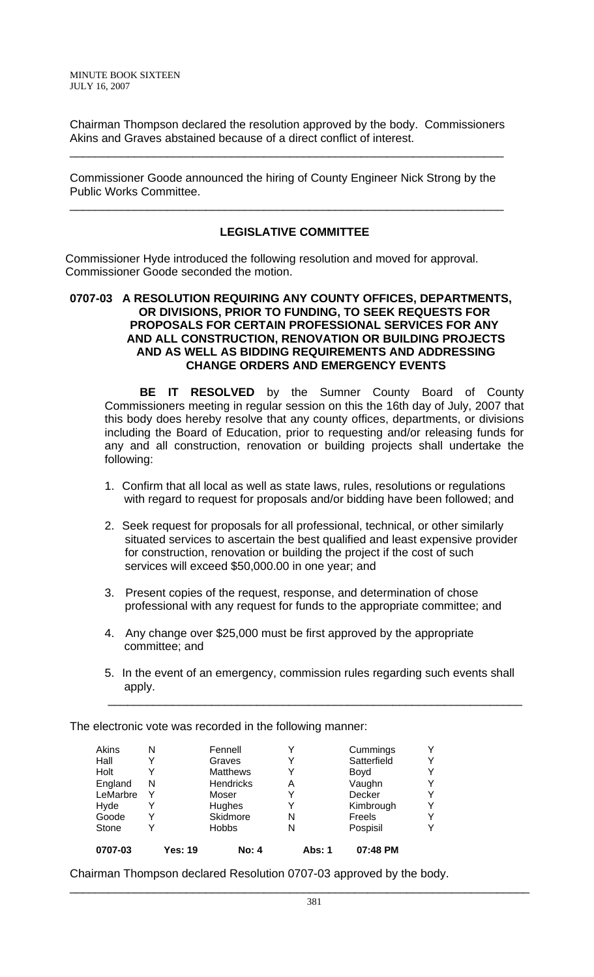Chairman Thompson declared the resolution approved by the body. Commissioners Akins and Graves abstained because of a direct conflict of interest.

\_\_\_\_\_\_\_\_\_\_\_\_\_\_\_\_\_\_\_\_\_\_\_\_\_\_\_\_\_\_\_\_\_\_\_\_\_\_\_\_\_\_\_\_\_\_\_\_\_\_\_\_\_\_\_\_\_\_\_\_\_\_\_\_\_\_\_

Commissioner Goode announced the hiring of County Engineer Nick Strong by the Public Works Committee.

\_\_\_\_\_\_\_\_\_\_\_\_\_\_\_\_\_\_\_\_\_\_\_\_\_\_\_\_\_\_\_\_\_\_\_\_\_\_\_\_\_\_\_\_\_\_\_\_\_\_\_\_\_\_\_\_\_\_\_\_\_\_\_\_\_\_\_

## **LEGISLATIVE COMMITTEE**

Commissioner Hyde introduced the following resolution and moved for approval. Commissioner Goode seconded the motion.

## **0707-03 A RESOLUTION REQUIRING ANY COUNTY OFFICES, DEPARTMENTS, OR DIVISIONS, PRIOR TO FUNDING, TO SEEK REQUESTS FOR PROPOSALS FOR CERTAIN PROFESSIONAL SERVICES FOR ANY AND ALL CONSTRUCTION, RENOVATION OR BUILDING PROJECTS AND AS WELL AS BIDDING REQUIREMENTS AND ADDRESSING CHANGE ORDERS AND EMERGENCY EVENTS**

**BE IT RESOLVED** by the Sumner County Board of County Commissioners meeting in regular session on this the 16th day of July, 2007 that this body does hereby resolve that any county offices, departments, or divisions including the Board of Education, prior to requesting and/or releasing funds for any and all construction, renovation or building projects shall undertake the following:

- 1. Confirm that all local as well as state laws, rules, resolutions or regulations with regard to request for proposals and/or bidding have been followed; and
- 2. Seek request for proposals for all professional, technical, or other similarly situated services to ascertain the best qualified and least expensive provider for construction, renovation or building the project if the cost of such services will exceed \$50,000.00 in one year; and
- 3. Present copies of the request, response, and determination of chose professional with any request for funds to the appropriate committee; and
- 4. Any change over \$25,000 must be first approved by the appropriate committee; and
- 5. In the event of an emergency, commission rules regarding such events shall apply.

\_\_\_\_\_\_\_\_\_\_\_\_\_\_\_\_\_\_\_\_\_\_\_\_\_\_\_\_\_\_\_\_\_\_\_\_\_\_\_\_\_\_\_\_\_\_\_\_\_\_\_\_\_\_\_\_\_\_\_\_\_\_\_\_

The electronic vote was recorded in the following manner:

|         |                  |                                      |           | Y                       |
|---------|------------------|--------------------------------------|-----------|-------------------------|
|         |                  |                                      |           | Y                       |
|         |                  |                                      |           |                         |
|         |                  |                                      | Boyd      | v                       |
| N       | <b>Hendricks</b> | Α                                    | Vaughn    | Y                       |
| Y       | Moser            |                                      | Decker    | Y                       |
|         | Hughes           |                                      | Kimbrough | Y                       |
| Y       | Skidmore         | N                                    | Freels    | Y                       |
|         | <b>Hobbs</b>     | N                                    | Pospisil  | v                       |
| Yes: 19 | <b>No: 4</b>     | Abs: 1                               | 07:48 PM  |                         |
|         | N                | Fennell<br>Graves<br><b>Matthews</b> |           | Cummings<br>Satterfield |

Chairman Thompson declared Resolution 0707-03 approved by the body.

\_\_\_\_\_\_\_\_\_\_\_\_\_\_\_\_\_\_\_\_\_\_\_\_\_\_\_\_\_\_\_\_\_\_\_\_\_\_\_\_\_\_\_\_\_\_\_\_\_\_\_\_\_\_\_\_\_\_\_\_\_\_\_\_\_\_\_\_\_\_\_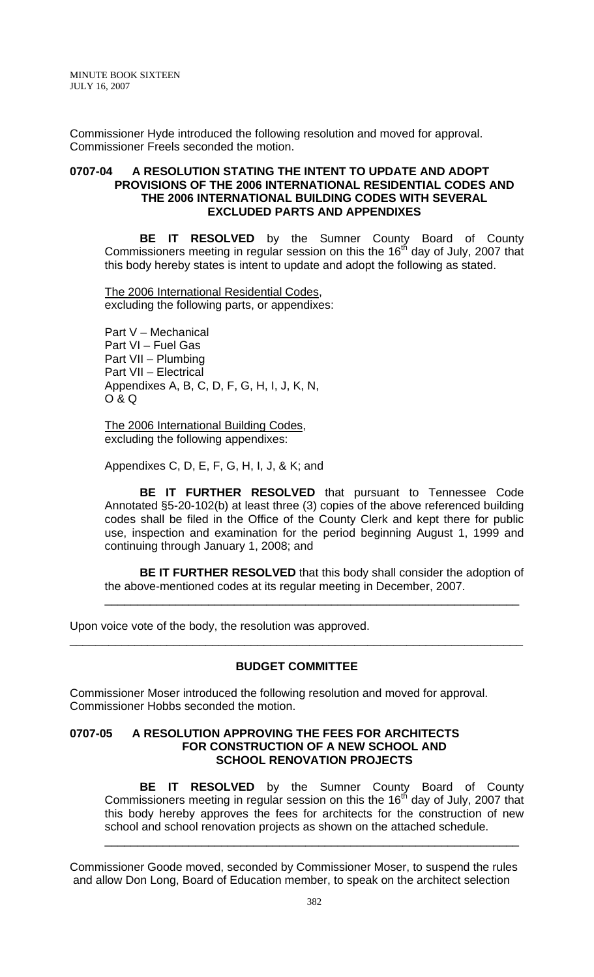Commissioner Hyde introduced the following resolution and moved for approval. Commissioner Freels seconded the motion.

### **0707-04 A RESOLUTION STATING THE INTENT TO UPDATE AND ADOPT PROVISIONS OF THE 2006 INTERNATIONAL RESIDENTIAL CODES AND THE 2006 INTERNATIONAL BUILDING CODES WITH SEVERAL EXCLUDED PARTS AND APPENDIXES**

 **BE IT RESOLVED** by the Sumner County Board of County Commissioners meeting in regular session on this the  $16<sup>th</sup>$  day of July, 2007 that this body hereby states is intent to update and adopt the following as stated.

The 2006 International Residential Codes, excluding the following parts, or appendixes:

Part V – Mechanical Part VI – Fuel Gas Part VII – Plumbing Part VII – Electrical Appendixes A, B, C, D, F, G, H, I, J, K, N, O & Q

The 2006 International Building Codes, excluding the following appendixes:

Appendixes C, D, E, F, G, H, I, J, & K; and

**BE IT FURTHER RESOLVED** that pursuant to Tennessee Code Annotated §5-20-102(b) at least three (3) copies of the above referenced building codes shall be filed in the Office of the County Clerk and kept there for public use, inspection and examination for the period beginning August 1, 1999 and continuing through January 1, 2008; and

**BE IT FURTHER RESOLVED** that this body shall consider the adoption of the above-mentioned codes at its regular meeting in December, 2007.

\_\_\_\_\_\_\_\_\_\_\_\_\_\_\_\_\_\_\_\_\_\_\_\_\_\_\_\_\_\_\_\_\_\_\_\_\_\_\_\_\_\_\_\_\_\_\_\_\_\_\_\_\_\_\_\_\_\_\_\_\_\_\_\_

Upon voice vote of the body, the resolution was approved.

### **BUDGET COMMITTEE**

\_\_\_\_\_\_\_\_\_\_\_\_\_\_\_\_\_\_\_\_\_\_\_\_\_\_\_\_\_\_\_\_\_\_\_\_\_\_\_\_\_\_\_\_\_\_\_\_\_\_\_\_\_\_\_\_\_\_\_\_\_\_\_\_\_\_\_\_\_\_

Commissioner Moser introduced the following resolution and moved for approval. Commissioner Hobbs seconded the motion.

#### **0707-05 A RESOLUTION APPROVING THE FEES FOR ARCHITECTS FOR CONSTRUCTION OF A NEW SCHOOL AND SCHOOL RENOVATION PROJECTS**

**BE IT RESOLVED** by the Sumner County Board of County Commissioners meeting in regular session on this the 16<sup>th</sup> day of July, 2007 that this body hereby approves the fees for architects for the construction of new school and school renovation projects as shown on the attached schedule.

\_\_\_\_\_\_\_\_\_\_\_\_\_\_\_\_\_\_\_\_\_\_\_\_\_\_\_\_\_\_\_\_\_\_\_\_\_\_\_\_\_\_\_\_\_\_\_\_\_\_\_\_\_\_\_\_\_\_\_\_\_\_\_\_

Commissioner Goode moved, seconded by Commissioner Moser, to suspend the rules and allow Don Long, Board of Education member, to speak on the architect selection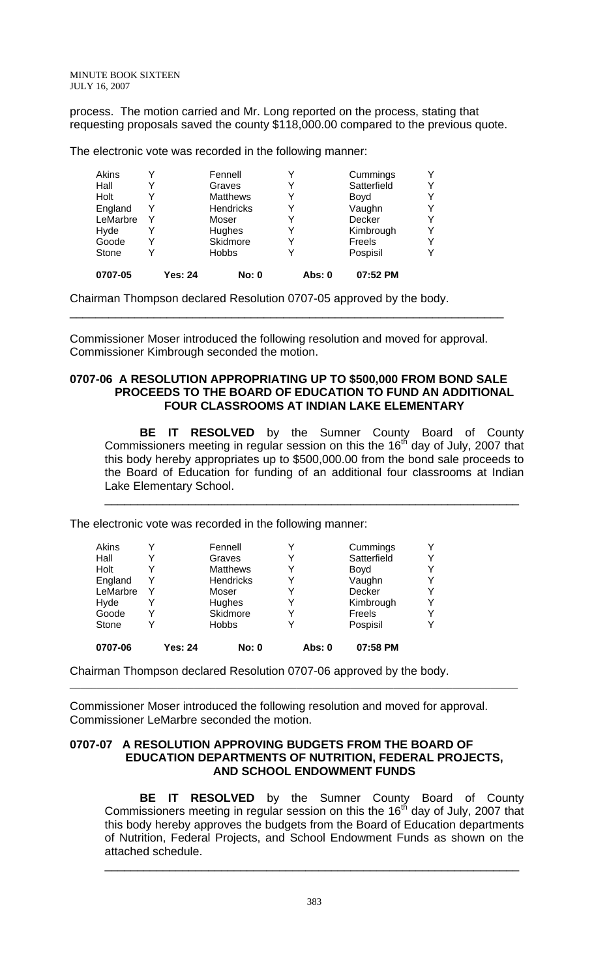process. The motion carried and Mr. Long reported on the process, stating that requesting proposals saved the county \$118,000.00 compared to the previous quote.

The electronic vote was recorded in the following manner:

| 0707-05  | Yes: 24 | <b>No: 0</b>     | Abs: 0 | 07:52 PM    |   |
|----------|---------|------------------|--------|-------------|---|
| Stone    | Y       | <b>Hobbs</b>     |        | Pospisil    | ∨ |
| Goode    | Y       | Skidmore         |        | Freels      | v |
| Hyde     | Y       | Hughes           |        | Kimbrough   | v |
| LeMarbre | Y       | Moser            |        | Decker      | Y |
| England  | Y       | <b>Hendricks</b> | Y      | Vaughn      | v |
| Holt     |         | <b>Matthews</b>  |        | Boyd        | v |
| Hall     |         | Graves           |        | Satterfield | Y |
| Akins    | ν       | Fennell          |        | Cummings    | v |

Chairman Thompson declared Resolution 0707-05 approved by the body.

Commissioner Moser introduced the following resolution and moved for approval. Commissioner Kimbrough seconded the motion.

\_\_\_\_\_\_\_\_\_\_\_\_\_\_\_\_\_\_\_\_\_\_\_\_\_\_\_\_\_\_\_\_\_\_\_\_\_\_\_\_\_\_\_\_\_\_\_\_\_\_\_\_\_\_\_\_\_\_\_\_\_\_\_\_\_\_\_

#### **0707-06 A RESOLUTION APPROPRIATING UP TO \$500,000 FROM BOND SALE PROCEEDS TO THE BOARD OF EDUCATION TO FUND AN ADDITIONAL FOUR CLASSROOMS AT INDIAN LAKE ELEMENTARY**

 **BE IT RESOLVED** by the Sumner County Board of County Commissioners meeting in regular session on this the  $16<sup>th</sup>$  day of July, 2007 that this body hereby appropriates up to \$500,000.00 from the bond sale proceeds to the Board of Education for funding of an additional four classrooms at Indian Lake Elementary School.

\_\_\_\_\_\_\_\_\_\_\_\_\_\_\_\_\_\_\_\_\_\_\_\_\_\_\_\_\_\_\_\_\_\_\_\_\_\_\_\_\_\_\_\_\_\_\_\_\_\_\_\_\_\_\_\_\_\_\_\_\_\_\_\_

The electronic vote was recorded in the following manner:

| Akins    |         | Fennell          |        | Cummings    | Y |
|----------|---------|------------------|--------|-------------|---|
| Hall     |         | Graves           |        | Satterfield | v |
| Holt     |         | <b>Matthews</b>  |        | Boyd        | v |
| England  | Y       | <b>Hendricks</b> | Y      | Vaughn      | Y |
| LeMarbre | Υ       | Moser            |        | Decker      | Y |
| Hyde     | Y       | Hughes           |        | Kimbrough   | Y |
| Goode    | Y       | Skidmore         |        | Freels      | v |
| Stone    | Y       | <b>Hobbs</b>     |        | Pospisil    |   |
| 0707-06  | Yes: 24 | <b>No: 0</b>     | Abs: 0 | 07:58 PM    |   |

Chairman Thompson declared Resolution 0707-06 approved by the body.

Commissioner Moser introduced the following resolution and moved for approval. Commissioner LeMarbre seconded the motion.

## **0707-07 A RESOLUTION APPROVING BUDGETS FROM THE BOARD OF EDUCATION DEPARTMENTS OF NUTRITION, FEDERAL PROJECTS, AND SCHOOL ENDOWMENT FUNDS**

**BE IT RESOLVED** by the Sumner County Board of County Commissioners meeting in regular session on this the  $16<sup>th</sup>$  day of July, 2007 that this body hereby approves the budgets from the Board of Education departments of Nutrition, Federal Projects, and School Endowment Funds as shown on the attached schedule.

\_\_\_\_\_\_\_\_\_\_\_\_\_\_\_\_\_\_\_\_\_\_\_\_\_\_\_\_\_\_\_\_\_\_\_\_\_\_\_\_\_\_\_\_\_\_\_\_\_\_\_\_\_\_\_\_\_\_\_\_\_\_\_\_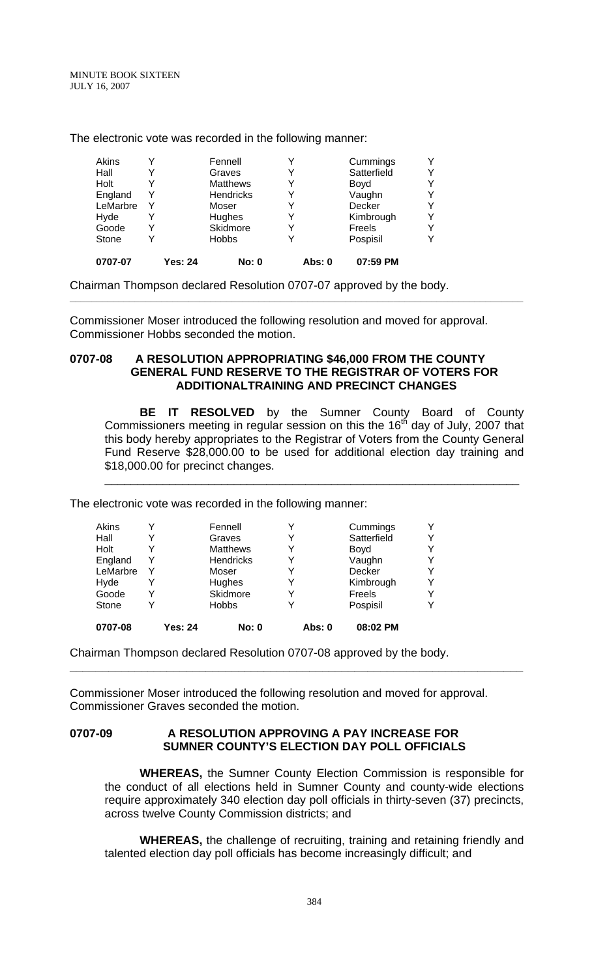The electronic vote was recorded in the following manner:

|   | Skidmore<br><b>Hobbs</b> | Freels<br>Pospisil | Y<br>v |
|---|--------------------------|--------------------|--------|
|   |                          |                    |        |
|   |                          |                    |        |
|   | Hughes                   | Kimbrough          | v      |
|   | Moser                    | Decker             | v      |
| Y | <b>Hendricks</b>         | Vaughn             | Y      |
|   | <b>Matthews</b>          | Boyd               | v      |
|   | Graves                   | Satterfield        | Y      |
|   | Fennell                  | Cummings           | Υ      |
|   |                          |                    |        |

Chairman Thompson declared Resolution 0707-07 approved by the body.

Commissioner Moser introduced the following resolution and moved for approval. Commissioner Hobbs seconded the motion.

**\_\_\_\_\_\_\_\_\_\_\_\_\_\_\_\_\_\_\_\_\_\_\_\_\_\_\_\_\_\_\_\_\_\_\_\_\_\_\_\_\_\_\_\_\_\_\_\_\_\_\_\_\_\_\_\_\_\_\_\_\_\_\_\_\_\_\_\_\_\_\_\_\_\_\_\_\_\_\_\_\_\_\_\_** 

### **0707-08 A RESOLUTION APPROPRIATING \$46,000 FROM THE COUNTY GENERAL FUND RESERVE TO THE REGISTRAR OF VOTERS FOR ADDITIONALTRAINING AND PRECINCT CHANGES**

 **BE IT RESOLVED** by the Sumner County Board of County Commissioners meeting in regular session on this the 16<sup>th</sup> day of July, 2007 that this body hereby appropriates to the Registrar of Voters from the County General Fund Reserve \$28,000.00 to be used for additional election day training and \$18,000.00 for precinct changes.

\_\_\_\_\_\_\_\_\_\_\_\_\_\_\_\_\_\_\_\_\_\_\_\_\_\_\_\_\_\_\_\_\_\_\_\_\_\_\_\_\_\_\_\_\_\_\_\_\_\_\_\_\_\_\_\_\_\_\_\_\_\_\_\_

The electronic vote was recorded in the following manner:

| 0707-08  | Yes: 24 | <b>No: 0</b>     | Abs: 0 | 08:02 PM    |   |
|----------|---------|------------------|--------|-------------|---|
| Stone    |         | <b>Hobbs</b>     |        | Pospisil    |   |
| Goode    |         | Skidmore         |        | Freels      | v |
| Hyde     | Y       | Hughes           |        | Kimbrough   | Y |
| LeMarbre | Y       | Moser            |        | Decker      | Y |
| England  | Y       | <b>Hendricks</b> | Y      | Vaughn      | v |
| Holt     |         | <b>Matthews</b>  |        | Boyd        | v |
| Hall     |         | Graves           |        | Satterfield | Y |
| Akins    |         | Fennell          |        | Cummings    | Y |

Chairman Thompson declared Resolution 0707-08 approved by the body.

Commissioner Moser introduced the following resolution and moved for approval. Commissioner Graves seconded the motion.

**\_\_\_\_\_\_\_\_\_\_\_\_\_\_\_\_\_\_\_\_\_\_\_\_\_\_\_\_\_\_\_\_\_\_\_\_\_\_\_\_\_\_\_\_\_\_\_\_\_\_\_\_\_\_\_\_\_\_\_\_\_\_\_\_\_\_\_\_\_\_** 

### **0707-09 A RESOLUTION APPROVING A PAY INCREASE FOR SUMNER COUNTY'S ELECTION DAY POLL OFFICIALS**

**WHEREAS,** the Sumner County Election Commission is responsible for the conduct of all elections held in Sumner County and county-wide elections require approximately 340 election day poll officials in thirty-seven (37) precincts, across twelve County Commission districts; and

**WHEREAS,** the challenge of recruiting, training and retaining friendly and talented election day poll officials has become increasingly difficult; and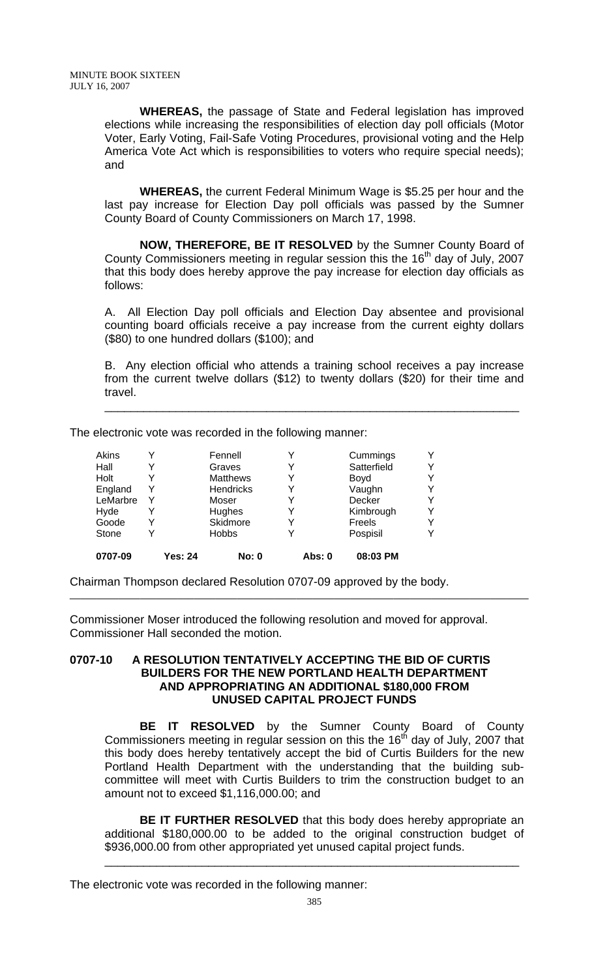**WHEREAS,** the passage of State and Federal legislation has improved elections while increasing the responsibilities of election day poll officials (Motor Voter, Early Voting, Fail-Safe Voting Procedures, provisional voting and the Help America Vote Act which is responsibilities to voters who require special needs); and

**WHEREAS,** the current Federal Minimum Wage is \$5.25 per hour and the last pay increase for Election Day poll officials was passed by the Sumner County Board of County Commissioners on March 17, 1998.

**NOW, THEREFORE, BE IT RESOLVED** by the Sumner County Board of County Commissioners meeting in regular session this the  $16<sup>th</sup>$  day of July, 2007 that this body does hereby approve the pay increase for election day officials as follows:

A. All Election Day poll officials and Election Day absentee and provisional counting board officials receive a pay increase from the current eighty dollars (\$80) to one hundred dollars (\$100); and

B. Any election official who attends a training school receives a pay increase from the current twelve dollars (\$12) to twenty dollars (\$20) for their time and travel.

\_\_\_\_\_\_\_\_\_\_\_\_\_\_\_\_\_\_\_\_\_\_\_\_\_\_\_\_\_\_\_\_\_\_\_\_\_\_\_\_\_\_\_\_\_\_\_\_\_\_\_\_\_\_\_\_\_\_\_\_\_\_\_\_

The electronic vote was recorded in the following manner:

| 0707-09  |   | <b>Yes: 24</b> | <b>No: 0</b>    | Abs: 0 | 08:03 PM    |   |
|----------|---|----------------|-----------------|--------|-------------|---|
| Stone    | Y |                | <b>Hobbs</b>    |        | Pospisil    | v |
| Goode    | Y |                | Skidmore        |        | Freels      | Y |
| Hyde     |   |                | Hughes          |        | Kimbrough   | Y |
| LeMarbre | Y |                | Moser           |        | Decker      | Y |
| England  | Y |                | Hendricks       |        | Vaughn      | v |
| Holt     |   |                | <b>Matthews</b> |        | Boyd        | v |
| Hall     | Y |                | Graves          |        | Satterfield | Y |
| Akins    | v |                | Fennell         |        | Cummings    | Y |

Chairman Thompson declared Resolution 0707-09 approved by the body.

Commissioner Moser introduced the following resolution and moved for approval. Commissioner Hall seconded the motion.

#### **0707-10 A RESOLUTION TENTATIVELY ACCEPTING THE BID OF CURTIS BUILDERS FOR THE NEW PORTLAND HEALTH DEPARTMENT AND APPROPRIATING AN ADDITIONAL \$180,000 FROM UNUSED CAPITAL PROJECT FUNDS**

 **BE IT RESOLVED** by the Sumner County Board of County Commissioners meeting in regular session on this the  $16<sup>th</sup>$  day of July, 2007 that this body does hereby tentatively accept the bid of Curtis Builders for the new Portland Health Department with the understanding that the building subcommittee will meet with Curtis Builders to trim the construction budget to an amount not to exceed \$1,116,000.00; and

**BE IT FURTHER RESOLVED** that this body does hereby appropriate an additional \$180,000.00 to be added to the original construction budget of \$936,000.00 from other appropriated yet unused capital project funds.

\_\_\_\_\_\_\_\_\_\_\_\_\_\_\_\_\_\_\_\_\_\_\_\_\_\_\_\_\_\_\_\_\_\_\_\_\_\_\_\_\_\_\_\_\_\_\_\_\_\_\_\_\_\_\_\_\_\_\_\_\_\_\_\_

The electronic vote was recorded in the following manner: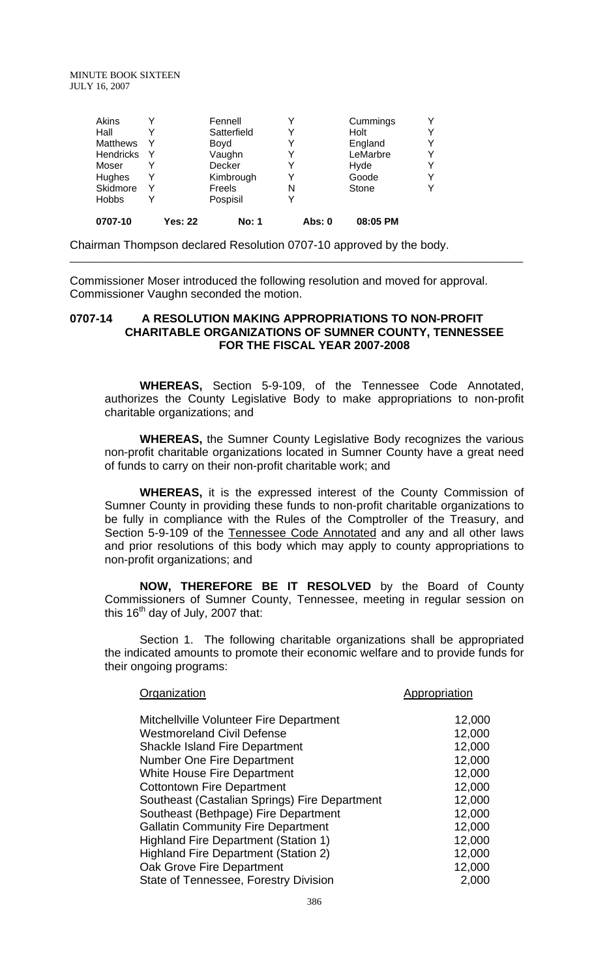| Akins            |                | Fennell      |        | Cummings | Y |
|------------------|----------------|--------------|--------|----------|---|
| Hall             |                | Satterfield  | Y      | Holt     | Y |
| <b>Matthews</b>  |                | Boyd         |        | England  | Υ |
| <b>Hendricks</b> | Y              | Vaughn       |        | LeMarbre | Y |
| Moser            |                | Decker       |        | Hyde     | v |
| Hughes           | Y              | Kimbrough    |        | Goode    | v |
| Skidmore         | Υ              | Freels       | N      | Stone    | v |
| <b>Hobbs</b>     | Y              | Pospisil     |        |          |   |
| 0707-10          | <b>Yes: 22</b> | <b>No: 1</b> | Abs: 0 | 08:05 PM |   |

Chairman Thompson declared Resolution 0707-10 approved by the body.

Commissioner Moser introduced the following resolution and moved for approval. Commissioner Vaughn seconded the motion.

## **0707-14 A RESOLUTION MAKING APPROPRIATIONS TO NON-PROFIT CHARITABLE ORGANIZATIONS OF SUMNER COUNTY, TENNESSEE FOR THE FISCAL YEAR 2007-2008**

 **WHEREAS,** Section 5-9-109, of the Tennessee Code Annotated, authorizes the County Legislative Body to make appropriations to non-profit charitable organizations; and

**WHEREAS,** the Sumner County Legislative Body recognizes the various non-profit charitable organizations located in Sumner County have a great need of funds to carry on their non-profit charitable work; and

 **WHEREAS,** it is the expressed interest of the County Commission of Sumner County in providing these funds to non-profit charitable organizations to be fully in compliance with the Rules of the Comptroller of the Treasury, and Section 5-9-109 of the Tennessee Code Annotated and any and all other laws and prior resolutions of this body which may apply to county appropriations to non-profit organizations; and

 **NOW, THEREFORE BE IT RESOLVED** by the Board of County Commissioners of Sumner County, Tennessee, meeting in regular session on this 16<sup>th</sup> day of July, 2007 that:

 Section 1. The following charitable organizations shall be appropriated the indicated amounts to promote their economic welfare and to provide funds for their ongoing programs:

| Organization                                  | Appropriation |
|-----------------------------------------------|---------------|
| Mitchellville Volunteer Fire Department       | 12,000        |
| <b>Westmoreland Civil Defense</b>             | 12,000        |
| <b>Shackle Island Fire Department</b>         | 12,000        |
| <b>Number One Fire Department</b>             | 12,000        |
| <b>White House Fire Department</b>            | 12,000        |
| <b>Cottontown Fire Department</b>             | 12,000        |
| Southeast (Castalian Springs) Fire Department | 12,000        |
| Southeast (Bethpage) Fire Department          | 12,000        |
| <b>Gallatin Community Fire Department</b>     | 12,000        |
| <b>Highland Fire Department (Station 1)</b>   | 12,000        |
| <b>Highland Fire Department (Station 2)</b>   | 12,000        |
| Oak Grove Fire Department                     | 12,000        |
| State of Tennessee, Forestry Division         | 2,000         |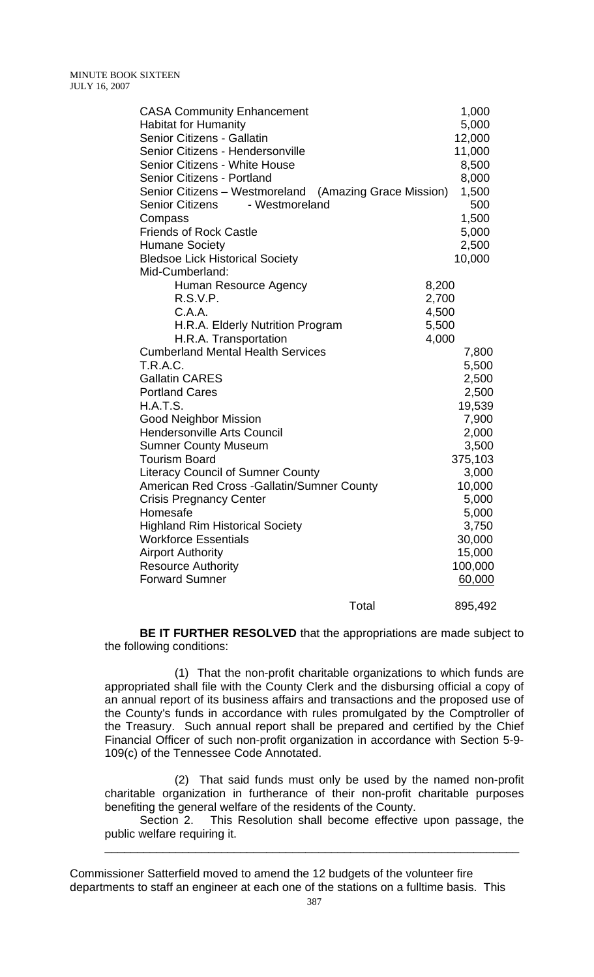| <b>CASA Community Enhancement</b>                      | 1,000   |
|--------------------------------------------------------|---------|
| <b>Habitat for Humanity</b>                            | 5,000   |
| Senior Citizens - Gallatin                             | 12,000  |
| Senior Citizens - Hendersonville                       | 11,000  |
| <b>Senior Citizens - White House</b>                   | 8,500   |
| <b>Senior Citizens - Portland</b>                      | 8,000   |
| Senior Citizens – Westmoreland (Amazing Grace Mission) | 1,500   |
| <b>Senior Citizens</b><br>- Westmoreland               | 500     |
| Compass                                                | 1,500   |
| <b>Friends of Rock Castle</b>                          | 5,000   |
| <b>Humane Society</b>                                  | 2,500   |
| <b>Bledsoe Lick Historical Society</b>                 | 10,000  |
| Mid-Cumberland:                                        |         |
| Human Resource Agency                                  | 8,200   |
| R.S.V.P.                                               | 2,700   |
| C.A.A.                                                 | 4,500   |
| H.R.A. Elderly Nutrition Program                       | 5,500   |
| H.R.A. Transportation                                  | 4,000   |
| <b>Cumberland Mental Health Services</b>               | 7,800   |
| <b>T.R.A.C.</b>                                        | 5,500   |
| <b>Gallatin CARES</b>                                  | 2,500   |
| <b>Portland Cares</b>                                  | 2,500   |
| H.A.T.S.                                               | 19,539  |
| <b>Good Neighbor Mission</b>                           | 7,900   |
| <b>Hendersonville Arts Council</b>                     | 2,000   |
| <b>Sumner County Museum</b>                            | 3,500   |
| <b>Tourism Board</b>                                   | 375,103 |
| <b>Literacy Council of Sumner County</b>               | 3,000   |
| American Red Cross - Gallatin/Sumner County            | 10,000  |
| <b>Crisis Pregnancy Center</b>                         | 5,000   |
| Homesafe                                               | 5,000   |
| <b>Highland Rim Historical Society</b>                 | 3,750   |
| <b>Workforce Essentials</b>                            | 30,000  |
| <b>Airport Authority</b>                               | 15,000  |
| <b>Resource Authority</b>                              | 100,000 |
| <b>Forward Sumner</b>                                  | 60,000  |
| Total                                                  | 895,492 |

**BE IT FURTHER RESOLVED** that the appropriations are made subject to the following conditions:

 (1) That the non-profit charitable organizations to which funds are appropriated shall file with the County Clerk and the disbursing official a copy of an annual report of its business affairs and transactions and the proposed use of the County's funds in accordance with rules promulgated by the Comptroller of the Treasury. Such annual report shall be prepared and certified by the Chief Financial Officer of such non-profit organization in accordance with Section 5-9- 109(c) of the Tennessee Code Annotated.

 (2) That said funds must only be used by the named non-profit charitable organization in furtherance of their non-profit charitable purposes benefiting the general welfare of the residents of the County.

 Section 2. This Resolution shall become effective upon passage, the public welfare requiring it.

\_\_\_\_\_\_\_\_\_\_\_\_\_\_\_\_\_\_\_\_\_\_\_\_\_\_\_\_\_\_\_\_\_\_\_\_\_\_\_\_\_\_\_\_\_\_\_\_\_\_\_\_\_\_\_\_\_\_\_\_\_\_\_\_

Commissioner Satterfield moved to amend the 12 budgets of the volunteer fire departments to staff an engineer at each one of the stations on a fulltime basis. This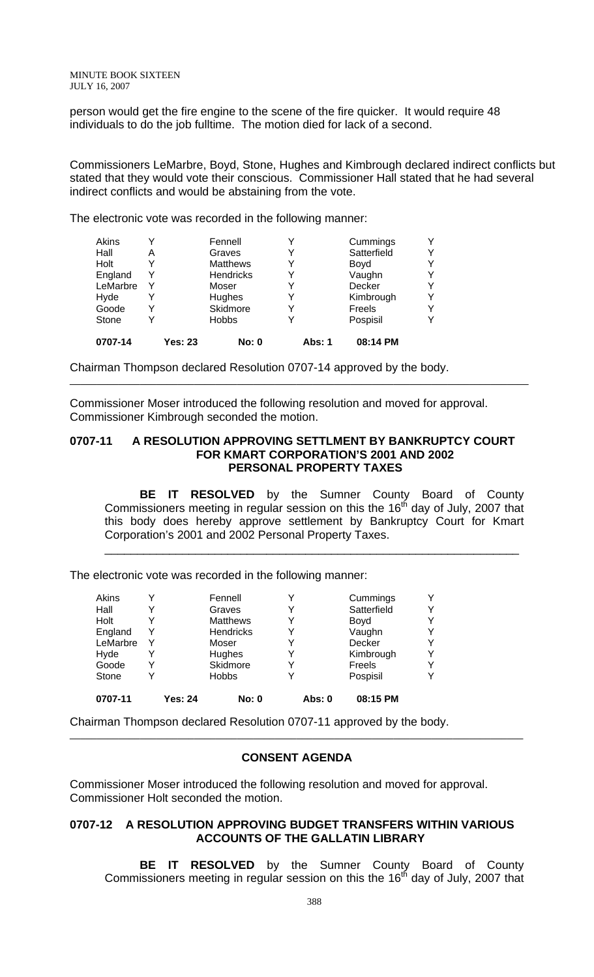person would get the fire engine to the scene of the fire quicker. It would require 48 individuals to do the job fulltime. The motion died for lack of a second.

Commissioners LeMarbre, Boyd, Stone, Hughes and Kimbrough declared indirect conflicts but stated that they would vote their conscious. Commissioner Hall stated that he had several indirect conflicts and would be abstaining from the vote.

The electronic vote was recorded in the following manner:

| Akins    |                | Fennell         |        | Cummings    | Y |
|----------|----------------|-----------------|--------|-------------|---|
| Hall     | Α              | Graves          |        | Satterfield | Y |
| Holt     | Y              | <b>Matthews</b> |        | Boyd        | Y |
| England  | Y              | Hendricks       |        | Vaughn      | Y |
| LeMarbre | Y              | Moser           |        | Decker      | Y |
| Hyde     | Y              | Hughes          | Y      | Kimbrough   | Y |
| Goode    | Y              | Skidmore        |        | Freels      | Y |
| Stone    | Y              | <b>Hobbs</b>    |        | Pospisil    | v |
| 0707-14  | <b>Yes: 23</b> | <b>No: 0</b>    | Abs: 1 | 08:14 PM    |   |

Chairman Thompson declared Resolution 0707-14 approved by the body.

Commissioner Moser introduced the following resolution and moved for approval. Commissioner Kimbrough seconded the motion.

#### **0707-11 A RESOLUTION APPROVING SETTLMENT BY BANKRUPTCY COURT FOR KMART CORPORATION'S 2001 AND 2002 PERSONAL PROPERTY TAXES**

 **BE IT RESOLVED** by the Sumner County Board of County Commissioners meeting in regular session on this the 16<sup>th</sup> day of July, 2007 that this body does hereby approve settlement by Bankruptcy Court for Kmart Corporation's 2001 and 2002 Personal Property Taxes.

\_\_\_\_\_\_\_\_\_\_\_\_\_\_\_\_\_\_\_\_\_\_\_\_\_\_\_\_\_\_\_\_\_\_\_\_\_\_\_\_\_\_\_\_\_\_\_\_\_\_\_\_\_\_\_\_\_\_\_\_\_\_\_\_

The electronic vote was recorded in the following manner:

| Akins    |   |         | Fennell          |        | Cummings    | Y |
|----------|---|---------|------------------|--------|-------------|---|
| Hall     |   |         | Graves           |        | Satterfield | Y |
| Holt     |   |         | <b>Matthews</b>  |        | Boyd        | v |
| England  | Y |         | <b>Hendricks</b> |        | Vaughn      | Y |
| LeMarbre | Y |         | Moser            |        | Decker      | v |
| Hyde     | Y |         | Hughes           |        | Kimbrough   | Y |
| Goode    |   |         | Skidmore         |        | Freels      | v |
| Stone    |   |         | <b>Hobbs</b>     |        | Pospisil    | v |
| 0707-11  |   | Yes: 24 | <b>No: 0</b>     | Abs: 0 | 08:15 PM    |   |

Chairman Thompson declared Resolution 0707-11 approved by the body.

### **CONSENT AGENDA**

Commissioner Moser introduced the following resolution and moved for approval. Commissioner Holt seconded the motion.

### **0707-12 A RESOLUTION APPROVING BUDGET TRANSFERS WITHIN VARIOUS ACCOUNTS OF THE GALLATIN LIBRARY**

 **BE IT RESOLVED** by the Sumner County Board of County Commissioners meeting in regular session on this the  $16<sup>th</sup>$  day of July, 2007 that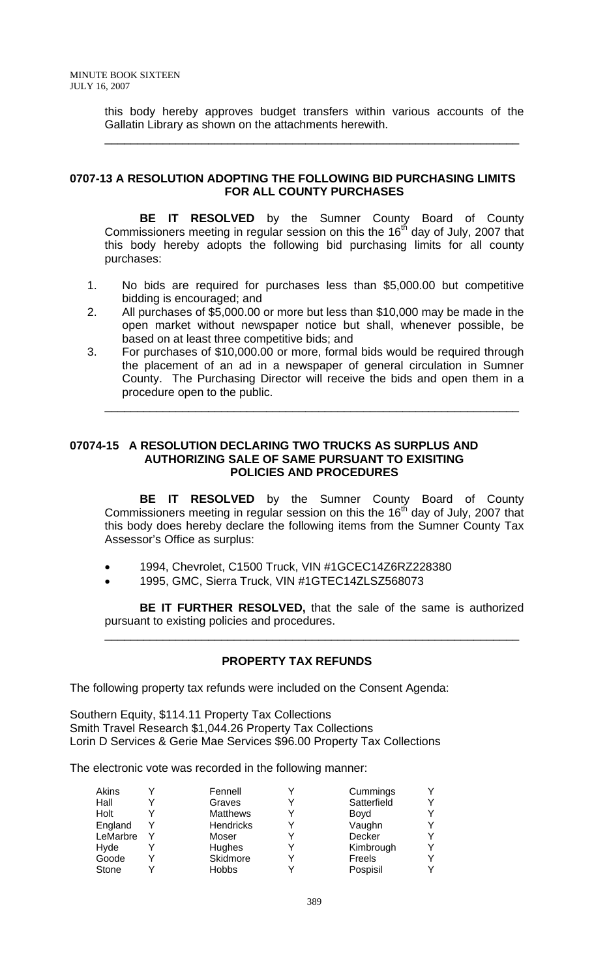this body hereby approves budget transfers within various accounts of the Gallatin Library as shown on the attachments herewith.

\_\_\_\_\_\_\_\_\_\_\_\_\_\_\_\_\_\_\_\_\_\_\_\_\_\_\_\_\_\_\_\_\_\_\_\_\_\_\_\_\_\_\_\_\_\_\_\_\_\_\_\_\_\_\_\_\_\_\_\_\_\_\_\_

## **0707-13 A RESOLUTION ADOPTING THE FOLLOWING BID PURCHASING LIMITS FOR ALL COUNTY PURCHASES**

 **BE IT RESOLVED** by the Sumner County Board of County Commissioners meeting in regular session on this the  $16<sup>th</sup>$  day of July, 2007 that this body hereby adopts the following bid purchasing limits for all county purchases:

- 1. No bids are required for purchases less than \$5,000.00 but competitive bidding is encouraged; and
- 2. All purchases of \$5,000.00 or more but less than \$10,000 may be made in the open market without newspaper notice but shall, whenever possible, be based on at least three competitive bids; and
- 3. For purchases of \$10,000.00 or more, formal bids would be required through the placement of an ad in a newspaper of general circulation in Sumner County. The Purchasing Director will receive the bids and open them in a procedure open to the public.

\_\_\_\_\_\_\_\_\_\_\_\_\_\_\_\_\_\_\_\_\_\_\_\_\_\_\_\_\_\_\_\_\_\_\_\_\_\_\_\_\_\_\_\_\_\_\_\_\_\_\_\_\_\_\_\_\_\_\_\_\_\_\_\_

## **07074-15 A RESOLUTION DECLARING TWO TRUCKS AS SURPLUS AND AUTHORIZING SALE OF SAME PURSUANT TO EXISITING POLICIES AND PROCEDURES**

 **BE IT RESOLVED** by the Sumner County Board of County Commissioners meeting in regular session on this the  $16<sup>th</sup>$  day of July, 2007 that this body does hereby declare the following items from the Sumner County Tax Assessor's Office as surplus:

- 1994, Chevrolet, C1500 Truck, VIN #1GCEC14Z6RZ228380
- 1995, GMC, Sierra Truck, VIN #1GTEC14ZLSZ568073

**BE IT FURTHER RESOLVED,** that the sale of the same is authorized pursuant to existing policies and procedures.

\_\_\_\_\_\_\_\_\_\_\_\_\_\_\_\_\_\_\_\_\_\_\_\_\_\_\_\_\_\_\_\_\_\_\_\_\_\_\_\_\_\_\_\_\_\_\_\_\_\_\_\_\_\_\_\_\_\_\_\_\_\_\_\_

# **PROPERTY TAX REFUNDS**

The following property tax refunds were included on the Consent Agenda:

Southern Equity, \$114.11 Property Tax Collections Smith Travel Research \$1,044.26 Property Tax Collections Lorin D Services & Gerie Mae Services \$96.00 Property Tax Collections

The electronic vote was recorded in the following manner:

| Akins    | Fennell          | Cummings    | v |
|----------|------------------|-------------|---|
| Hall     | Graves           | Satterfield | v |
| Holt     | <b>Matthews</b>  | Boyd        | v |
| England  | <b>Hendricks</b> | Vaughn      |   |
| LeMarbre | Moser            | Decker      | v |
| Hyde     | Hughes           | Kimbrough   | v |
| Goode    | Skidmore         | Freels      | v |
| Stone    | <b>Hobbs</b>     | Pospisil    | v |